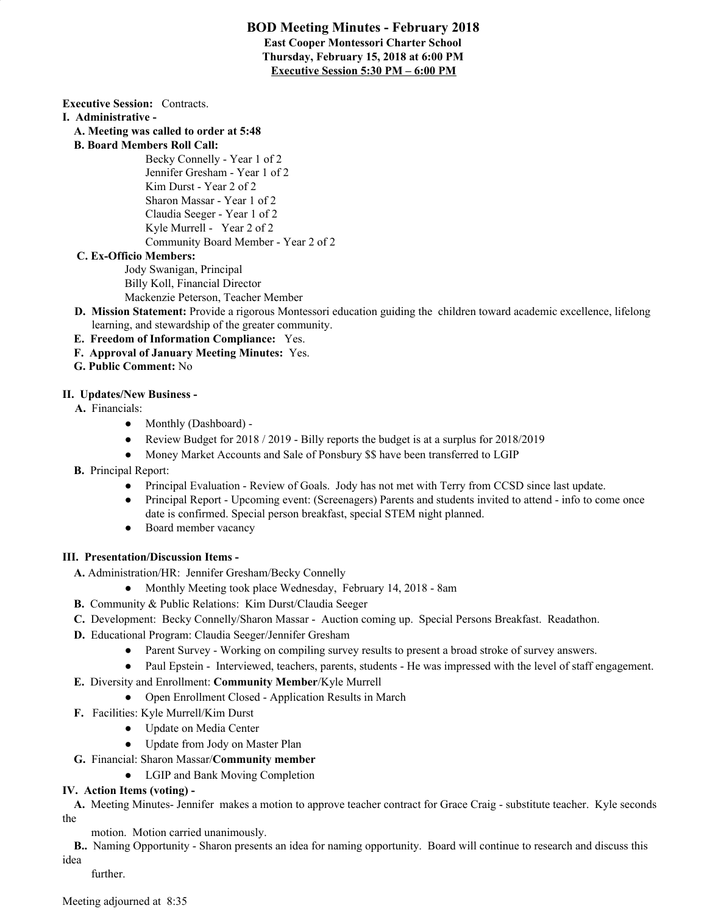### **BOD Meeting Minutes - February 2018 East Cooper Montessori Charter School Thursday, February 15, 2018 at 6:00 PM Executive Session 5:30 PM – 6:00 PM**

**Executive Session:** Contracts.

- **I. Administrative -**
	- **A. Meeting was called to order at 5:48**
	- **B. Board Members Roll Call:**
		- Becky Connelly Year 1 of 2 Jennifer Gresham - Year 1 of 2 Kim Durst - Year 2 of 2 Sharon Massar - Year 1 of 2 Claudia Seeger - Year 1 of 2 Kyle Murrell - Year 2 of 2 Community Board Member - Year 2 of 2

#### **C. Ex-Officio Members:**

Jody Swanigan, Principal Billy Koll, Financial Director Mackenzie Peterson, Teacher Member

- **D. Mission Statement:** Provide a rigorous Montessori education guiding the children toward academic excellence, lifelong learning, and stewardship of the greater community.
- **E. Freedom of Information Compliance:** Yes.
- **F. Approval of January Meeting Minutes:** Yes.
- **G. Public Comment:** No

### **II. Updates/New Business -**

- **A.** Financials:
	- Monthly (Dashboard) -
	- Review Budget for 2018 / 2019 Billy reports the budget is at a surplus for 2018/2019
	- Money Market Accounts and Sale of Ponsbury \$\$ have been transferred to LGIP
- **B.** Principal Report:
	- Principal Evaluation Review of Goals. Jody has not met with Terry from CCSD since last update.
	- Principal Report Upcoming event: (Screenagers) Parents and students invited to attend info to come once date is confirmed. Special person breakfast, special STEM night planned.
	- Board member vacancy

#### **III. Presentation/Discussion Items -**

- **A.** Administration/HR: Jennifer Gresham/Becky Connelly
	- Monthly Meeting took place Wednesday, February 14, 2018 8am
- **B.** Community & Public Relations: Kim Durst/Claudia Seeger
- **C.** Development: Becky Connelly/Sharon Massar Auction coming up. Special Persons Breakfast. Readathon.
- **D.** Educational Program: Claudia Seeger/Jennifer Gresham
	- Parent Survey Working on compiling survey results to present a broad stroke of survey answers.
	- Paul Epstein Interviewed, teachers, parents, students He was impressed with the level of staff engagement.
- **E.** Diversity and Enrollment: **Community Member**/Kyle Murrell
	- Open Enrollment Closed Application Results in March
- **F.** Facilities: Kyle Murrell/Kim Durst
	- Update on Media Center
	- Update from Jody on Master Plan
- **G.** Financial: Sharon Massar/**Community member**
	- LGIP and Bank Moving Completion

## **IV. Action Items (voting) -**

**A.** Meeting Minutes- Jennifer makes a motion to approve teacher contract for Grace Craig - substitute teacher. Kyle seconds the

motion. Motion carried unanimously.

**B..** Naming Opportunity - Sharon presents an idea for naming opportunity. Board will continue to research and discuss this idea

further.